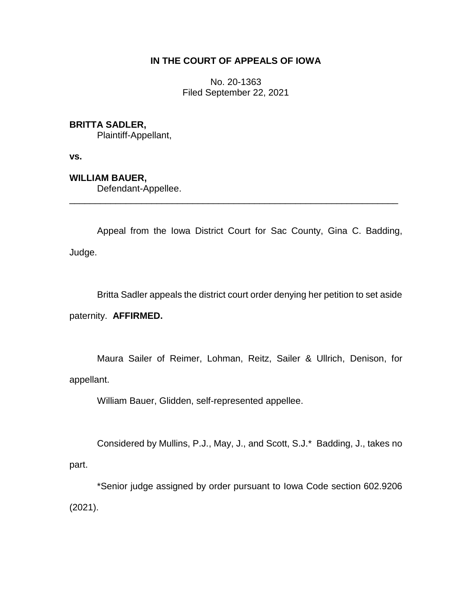## **IN THE COURT OF APPEALS OF IOWA**

No. 20-1363 Filed September 22, 2021

## **BRITTA SADLER,**

Plaintiff-Appellant,

**vs.**

## **WILLIAM BAUER,**

Defendant-Appellee.

Appeal from the Iowa District Court for Sac County, Gina C. Badding, Judge.

\_\_\_\_\_\_\_\_\_\_\_\_\_\_\_\_\_\_\_\_\_\_\_\_\_\_\_\_\_\_\_\_\_\_\_\_\_\_\_\_\_\_\_\_\_\_\_\_\_\_\_\_\_\_\_\_\_\_\_\_\_\_\_\_

Britta Sadler appeals the district court order denying her petition to set aside

paternity. **AFFIRMED.** 

Maura Sailer of Reimer, Lohman, Reitz, Sailer & Ullrich, Denison, for appellant.

William Bauer, Glidden, self-represented appellee.

Considered by Mullins, P.J., May, J., and Scott, S.J.\* Badding, J., takes no part.

\*Senior judge assigned by order pursuant to Iowa Code section 602.9206 (2021).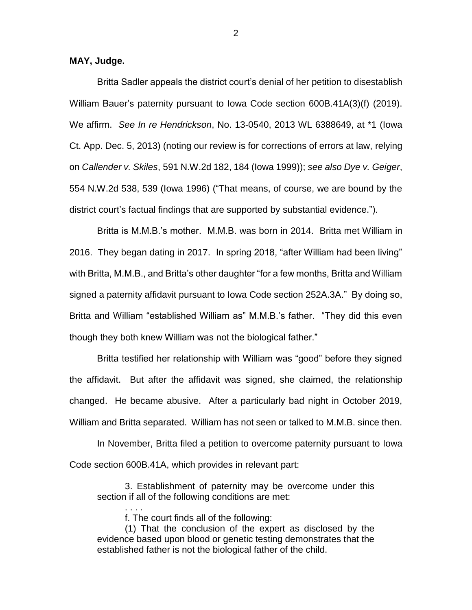**MAY, Judge.**

Britta Sadler appeals the district court's denial of her petition to disestablish William Bauer's paternity pursuant to Iowa Code section 600B.41A(3)(f) (2019). We affirm. *See In re Hendrickson*, No. 13-0540, 2013 WL 6388649, at \*1 (Iowa Ct. App. Dec. 5, 2013) (noting our review is for corrections of errors at law, relying on *Callender v. Skiles*, 591 N.W.2d 182, 184 (Iowa 1999)); *see also Dye v. Geiger*, 554 N.W.2d 538, 539 (Iowa 1996) ("That means, of course, we are bound by the district court's factual findings that are supported by substantial evidence.").

Britta is M.M.B.'s mother. M.M.B. was born in 2014. Britta met William in 2016. They began dating in 2017. In spring 2018, "after William had been living" with Britta, M.M.B., and Britta's other daughter "for a few months, Britta and William signed a paternity affidavit pursuant to Iowa Code section 252A.3A." By doing so, Britta and William "established William as" M.M.B.'s father. "They did this even though they both knew William was not the biological father."

Britta testified her relationship with William was "good" before they signed the affidavit. But after the affidavit was signed, she claimed, the relationship changed. He became abusive. After a particularly bad night in October 2019, William and Britta separated. William has not seen or talked to M.M.B. since then.

In November, Britta filed a petition to overcome paternity pursuant to Iowa Code section 600B.41A, which provides in relevant part:

3. Establishment of paternity may be overcome under this section if all of the following conditions are met:

f. The court finds all of the following:

. . . .

(1) That the conclusion of the expert as disclosed by the evidence based upon blood or genetic testing demonstrates that the established father is not the biological father of the child.

2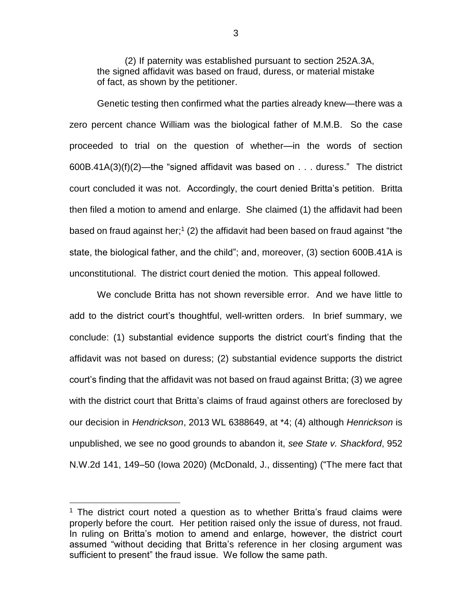(2) If paternity was established pursuant to section 252A.3A, the signed affidavit was based on fraud, duress, or material mistake of fact, as shown by the petitioner.

Genetic testing then confirmed what the parties already knew—there was a zero percent chance William was the biological father of M.M.B. So the case proceeded to trial on the question of whether—in the words of section 600B.41A(3)(f)(2)—the "signed affidavit was based on . . . duress." The district court concluded it was not. Accordingly, the court denied Britta's petition. Britta then filed a motion to amend and enlarge. She claimed (1) the affidavit had been based on fraud against her;<sup>1</sup> (2) the affidavit had been based on fraud against "the state, the biological father, and the child"; and, moreover, (3) section 600B.41A is unconstitutional. The district court denied the motion. This appeal followed.

We conclude Britta has not shown reversible error. And we have little to add to the district court's thoughtful, well-written orders. In brief summary, we conclude: (1) substantial evidence supports the district court's finding that the affidavit was not based on duress; (2) substantial evidence supports the district court's finding that the affidavit was not based on fraud against Britta; (3) we agree with the district court that Britta's claims of fraud against others are foreclosed by our decision in *Hendrickson*, 2013 WL 6388649, at \*4; (4) although *Henrickson* is unpublished, we see no good grounds to abandon it, *see State v. Shackford*, 952 N.W.2d 141, 149–50 (Iowa 2020) (McDonald, J., dissenting) ("The mere fact that

 $\overline{a}$ 

<sup>&</sup>lt;sup>1</sup> The district court noted a question as to whether Britta's fraud claims were properly before the court. Her petition raised only the issue of duress, not fraud. In ruling on Britta's motion to amend and enlarge, however, the district court assumed "without deciding that Britta's reference in her closing argument was sufficient to present" the fraud issue. We follow the same path.